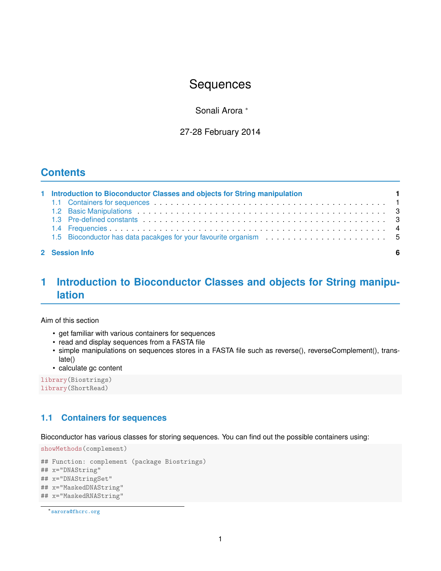# **Sequences**

Sonali Arora <sup>∗</sup>

27-28 February 2014

# **Contents**

| 1 Introduction to Bioconductor Classes and objects for String manipulation |     |
|----------------------------------------------------------------------------|-----|
|                                                                            |     |
|                                                                            |     |
|                                                                            |     |
|                                                                            |     |
|                                                                            |     |
| 2 Session Info                                                             | - 6 |

# <span id="page-0-0"></span>**1 Introduction to Bioconductor Classes and objects for String manipulation**

Aim of this section

- get familiar with various containers for sequences
- read and display sequences from a FASTA file
- simple manipulations on sequences stores in a FASTA file such as reverse(), reverseComplement(), translate()
- calculate gc content

```
library(Biostrings)
library(ShortRead)
```
# <span id="page-0-1"></span>**1.1 Containers for sequences**

Bioconductor has various classes for storing sequences. You can find out the possible containers using:

```
showMethods(complement)
```

```
## Function: complement (package Biostrings)
## x="DNAString"
## x="DNAStringSet"
## x="MaskedDNAString"
## x="MaskedRNAString"
```

```
∗sarora@fhcrc.org
```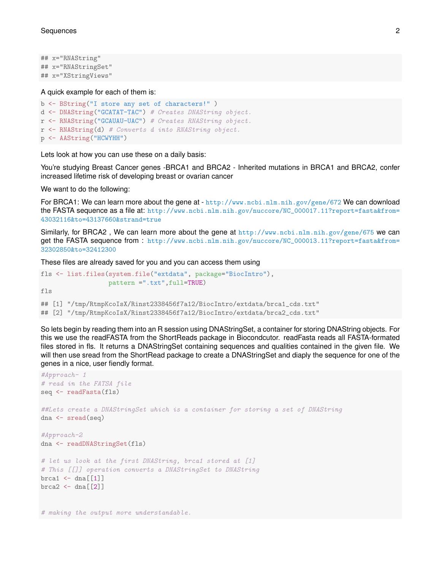## x="RNAString" ## x="RNAStringSet" ## x="XStringViews"

#### A quick example for each of them is:

```
b <- BString("I store any set of characters!" )
d <- DNAString("GCATAT-TAC") # Creates DNAString object.
r <- RNAString("GCAUAU-UAC") # Creates RNAString object.
r <- RNAString(d) # Converts d into RNAString object.
p <- AAString("HCWYHH")
```
Lets look at how you can use these on a daily basis:

# making the output more understandable.

You're studying Breast Cancer genes -BRCA1 and BRCA2 - Inherited mutations in BRCA1 and BRCA2, confer increased lifetime risk of developing breast or ovarian cancer

We want to do the following:

For BRCA1: We can learn more about the gene at - <http://www.ncbi.nlm.nih.gov/gene/672> We can download the FASTA sequence as a file at: [http://www.ncbi.nlm.nih.gov/nuccore/NC\\_000017.11?report=fasta&from=](http://www.ncbi.nlm.nih.gov/nuccore/NC_000017.11?report=fasta&from=43032116&to=43137660&strand=true) [43032116&to=43137660&strand=true](http://www.ncbi.nlm.nih.gov/nuccore/NC_000017.11?report=fasta&from=43032116&to=43137660&strand=true)

Similarly, for BRCA2 , We can learn more about the gene at <http://www.ncbi.nlm.nih.gov/gene/675> we can get the FASTA sequence from : [http://www.ncbi.nlm.nih.gov/nuccore/NC\\_000013.11?report=fasta&from=](http://www.ncbi.nlm.nih.gov/nuccore/NC_000013.11?report=fasta&from=32302850&to=32412300) [32302850&to=32412300](http://www.ncbi.nlm.nih.gov/nuccore/NC_000013.11?report=fasta&from=32302850&to=32412300)

These files are already saved for you and you can access them using

```
fls <- list.files(system.file("extdata", package="BiocIntro"),
                  pattern =".txt",full=TRUE)
fls
## [1] "/tmp/RtmpKcoIsX/Rinst2338456f7a12/BiocIntro/extdata/brca1_cds.txt"
## [2] "/tmp/RtmpKcoIsX/Rinst2338456f7a12/BiocIntro/extdata/brca2_cds.txt"
```
So lets begin by reading them into an R session using DNAStringSet, a container for storing DNAString objects. For this we use the readFASTA from the ShortReads package in Biocondcutor. readFasta reads all FASTA-formated files stored in fls. It returns a DNAStringSet containing sequences and qualities contained in the given file. We will then use sread from the ShortRead package to create a DNAStringSet and diaply the sequence for one of the genes in a nice, user fiendly format.

```
#Approach- 1
# read in the FATSA file
seq <- readFasta(fls)
##Lets create a DNAStringSet which is a container for storing a set of DNAString
dna <- sread(seq)
#Approach-2
dna <- readDNAStringSet(fls)
# let us look at the first DNAString, brca1 stored at [1]
# This [[]] operation converts a DNAStringSet to DNAString
brca1 \leftarrow dna [[1]]
brca2 \leq - \text{dna} [2]]
```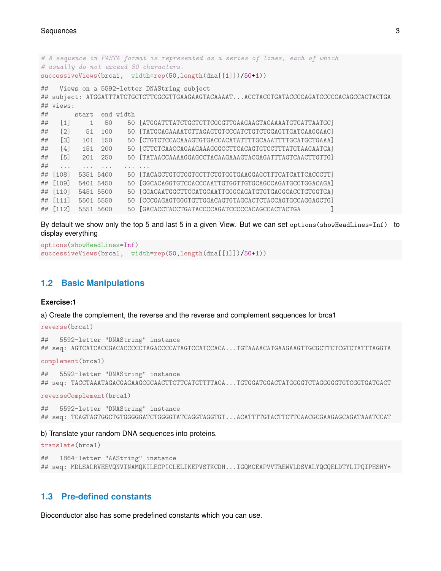```
# A sequence in FASTA format is represented as a series of lines, each of which
# usually do not exceed 80 characters.
successiveViews(brca1, width=rep(50,length(dna[[1]])/50+1))
## Views on a 5592-letter DNAString subject
## subject: ATGGATTTATCTGCTCTTCGCGTTGAAGAAGTACAAAAT...ACCTACCTGATACCCCAGATCCCCCACAGCCACTACTGA
## views:
## start end width
## [1] 1 50 50 [ATGGATTTATCTGCTCTTCGCGTTGAAGAAGTACAAAATGTCATTAATGC]
## [2] 51 100 50 [TATGCAGAAAATCTTAGAGTGTCCCATCTGTCTGGAGTTGATCAAGGAAC]
## [3] 101 150 50 [CTGTCTCCACAAAGTGTGACCACATATTTTGCAAATTTTGCATGCTGAAA]
## [4] 151 200 50 [CTTCTCAACCAGAAGAAAGGGCCTTCACAGTGTCCTTTATGTAAGAATGA]
## [5] 201 250 50 [TATAACCAAAAGGAGCCTACAAGAAAGTACGAGATTTAGTCAACTTGTTG]
## .... ... ... ... ... ...
## [108] 5351 5400 50 [TACAGCTGTGTGGTGCTTCTGTGGTGAAGGAGCTTTCATCATTCACCCTT]
## [109] 5401 5450 50 [GGCACAGGTGTCCACCCAATTGTGGTTGTGCAGCCAGATGCCTGGACAGA]
## [110] 5451 5500 50 [GGACAATGGCTTCCATGCAATTGGGCAGATGTGTGAGGCACCTGTGGTGA]
## [111] 5501 5550 50 [CCCGAGAGTGGGTGTTGGACAGTGTAGCACTCTACCAGTGCCAGGAGCTG]
## [112] 5551 5600 50 [GACACCTACCTGATACCCCAGATCCCCCAGAGCCACTACTGA
```
By default we show only the top 5 and last 5 in a given View. But we can set options(showHeadLines=Inf) to display everything

```
options(showHeadLines=Inf)
successiveViews(brca1, width=rep(50,length(dna[[1]])/50+1))
```
## <span id="page-2-0"></span>**1.2 Basic Manipulations**

### **Exercise:1**

a) Create the complement, the reverse and the reverse and complement sequences for brca1

```
reverse(brca1)
## 5592-letter "DNAString" instance
## seq: AGTCATCACCGACACCCCCTAGACCCCATAGTCCATCCACA...TGTAAAACATGAAGAAGTTGCGCTTCTCGTCTATTTAGGTA
complement(brca1)
## 5592-letter "DNAString" instance
```

```
## seq: TACCTAAATAGACGAGAAGCGCAACTTCTTCATGTTTTACA...TGTGGATGGACTATGGGGTCTAGGGGGTGTCGGTGATGACT
```
reverseComplement(brca1)

```
## 5592-letter "DNAString" instance
## seq: TCAGTAGTGGCTGTGGGGGATCTGGGGTATCAGGTAGGTGT...ACATTTTGTACTTCTTCAACGCGAAGAGCAGATAAATCCAT
```
#### b) Translate your random DNA sequences into proteins.

```
translate(brca1)
## 1864-letter "AAString" instance
## seq: MDLSALRVEEVQNVINAMQKILECPICLELIKEPVSTKCDH...IGQMCEAPVVTREWVLDSVALYQCQELDTYLIPQIPHSHY*
```
## <span id="page-2-1"></span>**1.3 Pre-defined constants**

Bioconductor also has some predefined constants which you can use.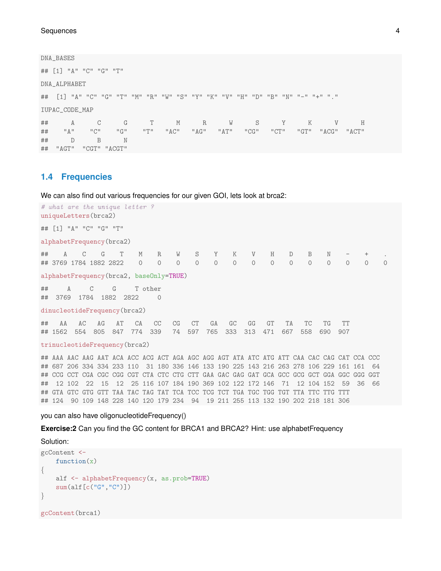DNA\_BASES

## [1] "A" "C" "G" "T" DNA\_ALPHABET ## [1] "A" "C" "G" "T" "M" "R" "W" "S" "Y" "K" "V" "H" "D" "B" "N" "-" "+" "." IUPAC\_CODE\_MAP ## A C G T M R W S Y K V H ## "A" "C" "G" "T" "AC" "AG" "AT" "CG" "CT" "GT" "ACG" "ACT" ## D B N ## "AGT" "CGT" "ACGT"

## <span id="page-3-0"></span>**1.4 Frequencies**

We can also find out various frequencies for our given GOI, lets look at brca2:

# what are the unique letter ? uniqueLetters(brca2) ## [1] "A" "C" "G" "T" alphabetFrequency(brca2) ## A C G T M R W S Y K V H D B N ## 3769 1784 1882 2822 0 0 0 0 0 0 0 0 0 0 0 0 0 0 alphabetFrequency(brca2, baseOnly=TRUE) ## A C G T other ## 3769 1784 1882 2822 0 dinucleotideFrequency(brca2) ## AA AC AG AT CA CC CG CT GA GC GG GT TA TC TG TT ## 1562 554 805 847 774 339 74 597 765 333 313 471 667 558 690 907 trinucleotideFrequency(brca2) ## AAA AAC AAG AAT ACA ACC ACG ACT AGA AGC AGG AGT ATA ATC ATG ATT CAA CAC CAG CAT CCA CCC ## 687 206 334 334 233 110 31 180 336 146 133 190 225 143 216 263 278 106 229 161 161 64 ## CCG CCT CGA CGC CGG CGT CTA CTC CTG CTT GAA GAC GAG GAT GCA GCC GCG GCT GGA GGC GGG GGT ## 12 102 22 15 12 25 116 107 184 190 369 102 122 172 146 71 12 104 152 59 36 66

#### you can also have oligonucleotideFrequency()

**Exercise:2** Can you find the GC content for BRCA1 and BRCA2? Hint: use alphabetFrequency

## GTA GTC GTG GTT TAA TAC TAG TAT TCA TCC TCG TCT TGA TGC TGG TGT TTA TTC TTG TTT ## 124 90 109 148 228 140 120 179 234 94 19 211 255 113 132 190 202 218 181 306

Solution:

```
gcContent <-
   function(x)\{alf <- alphabetFrequency(x, as.prob=TRUE)
    sum(alf[c("G","C")])
}
gcContent(brca1)
```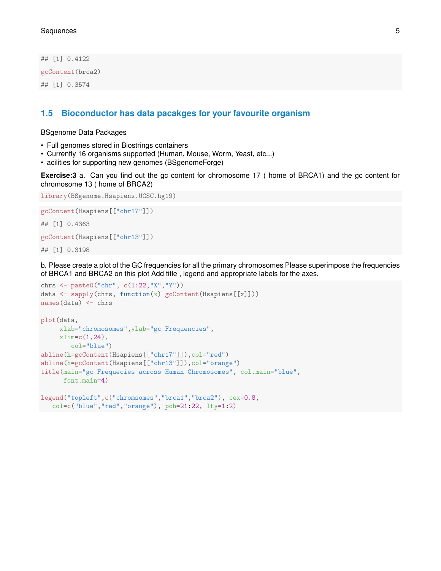## [1] 0.4122 gcContent(brca2) ## [1] 0.3574

## <span id="page-4-0"></span>**1.5 Bioconductor has data pacakges for your favourite organism**

## BSgenome Data Packages

- Full genomes stored in Biostrings containers
- Currently 16 organisms supported (Human, Mouse, Worm, Yeast, etc...)
- acilities for supporting new genomes (BSgenomeForge)

**Exercise:3** a. Can you find out the gc content for chromosome 17 ( home of BRCA1) and the gc content for chromosome 13 ( home of BRCA2)

library(BSgenome.Hsapiens.UCSC.hg19)

```
gcContent(Hsapiens[["chr17"]])
## [1] 0.4363
```
gcContent(Hsapiens[["chr13"]])

## [1] 0.3198

b. Please create a plot of the GC frequencies for all the primary chromosomes Please superimpose the frequencies of BRCA1 and BRCA2 on this plot Add title , legend and appropriate labels for the axes.

```
chrs <- paste0("chr", c(1:22,"X","Y"))
data <- sapply(chrs, function(x) gcContent(Hsapiens[[x]]))
names(data) <- chrs
plot(data,
    xlab="chromosomes",ylab="gc Frequencies",
    xlim=c(1,24),col="blue")
abline(h=gcContent(Hsapiens[["chr17"]]),col="red")
abline(h=gcContent(Hsapiens[["chr13"]]),col="orange")
title(main="gc Frequecies across Human Chromosomes", col.main="blue",
     font.main=4)
legend("topleft",c("chromsomes","brca1","brca2"), cex=0.8,
  col=c("blue","red","orange"), pch=21:22, lty=1:2)
```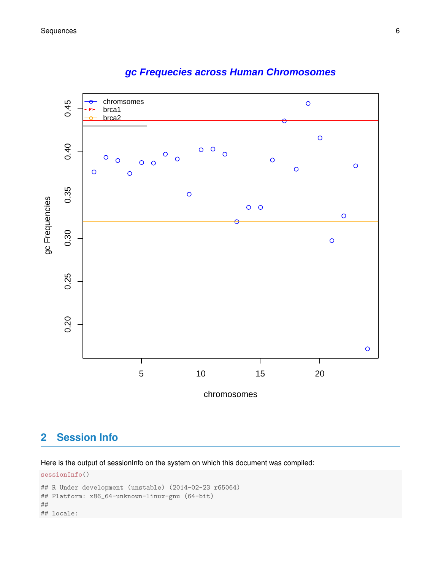

# **gc Frequecies across Human Chromosomes**

# <span id="page-5-0"></span>**2 Session Info**

Here is the output of sessionInfo on the system on which this document was compiled:

```
sessionInfo()
## R Under development (unstable) (2014-02-23 r65064)
## Platform: x86_64-unknown-linux-gnu (64-bit)
##
## locale:
```